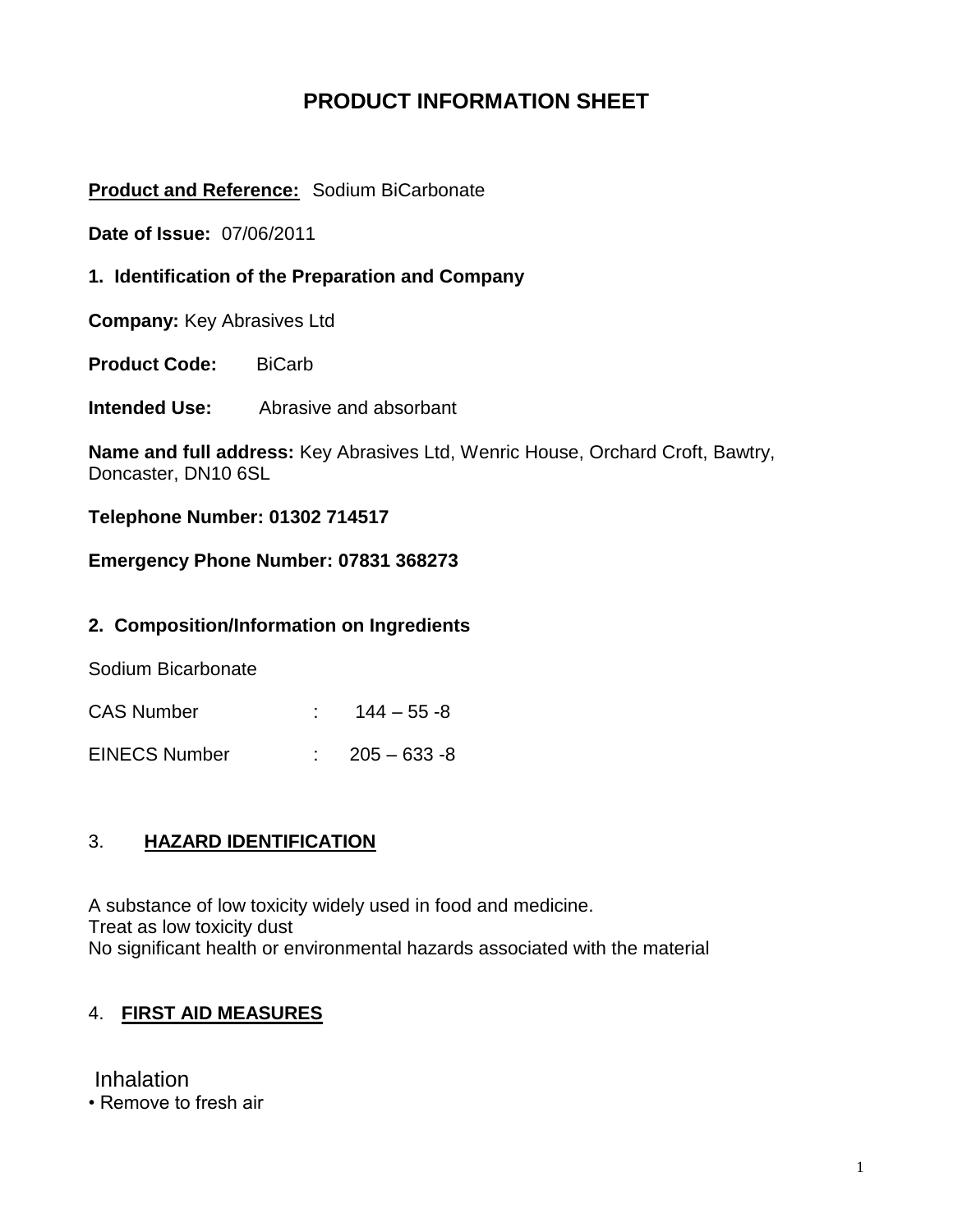# **PRODUCT INFORMATION SHEET**

### **Product and Reference:** Sodium BiCarbonate

**Date of Issue:** 07/06/2011

**1. Identification of the Preparation and Company**

**Company:** Key Abrasives Ltd

**Product Code:** BiCarb

**Intended Use:** Abrasive and absorbant

**Name and full address:** Key Abrasives Ltd, Wenric House, Orchard Croft, Bawtry, Doncaster, DN10 6SL

**Telephone Number: 01302 714517**

#### **Emergency Phone Number: 07831 368273**

#### **2. Composition/Information on Ingredients**

Sodium Bicarbonate

| <b>CAS Number</b>    | $144 - 55 - 8$            |
|----------------------|---------------------------|
| <b>EINECS Number</b> | $\therefore$ 205 – 633 -8 |

#### 3. **HAZARD IDENTIFICATION**

A substance of low toxicity widely used in food and medicine. Treat as low toxicity dust No significant health or environmental hazards associated with the material

### 4. **FIRST AID MEASURES**

Inhalation

• Remove to fresh air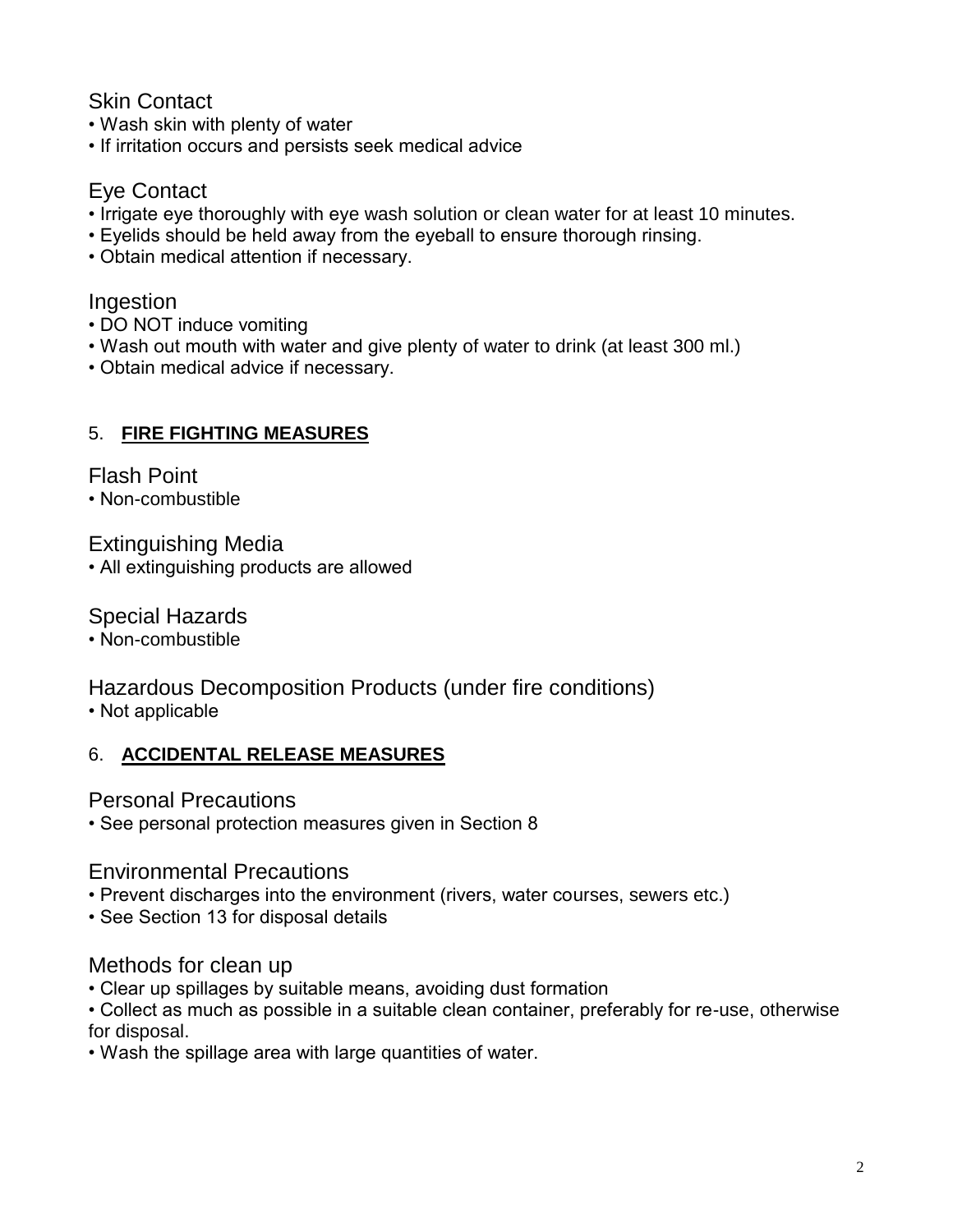# Skin Contact

- Wash skin with plenty of water
- If irritation occurs and persists seek medical advice

# Eye Contact

- Irrigate eye thoroughly with eye wash solution or clean water for at least 10 minutes.
- Eyelids should be held away from the eyeball to ensure thorough rinsing.
- Obtain medical attention if necessary.

# Ingestion

- DO NOT induce vomiting
- Wash out mouth with water and give plenty of water to drink (at least 300 ml.)
- Obtain medical advice if necessary.

# 5. **FIRE FIGHTING MEASURES**

Flash Point

• Non-combustible

Extinguishing Media

• All extinguishing products are allowed

Special Hazards

• Non-combustible

# Hazardous Decomposition Products (under fire conditions)

• Not applicable

# 6. **ACCIDENTAL RELEASE MEASURES**

Personal Precautions

• See personal protection measures given in Section 8

Environmental Precautions

• Prevent discharges into the environment (rivers, water courses, sewers etc.)

• See Section 13 for disposal details

# Methods for clean up

• Clear up spillages by suitable means, avoiding dust formation

• Collect as much as possible in a suitable clean container, preferably for re-use, otherwise for disposal.

• Wash the spillage area with large quantities of water.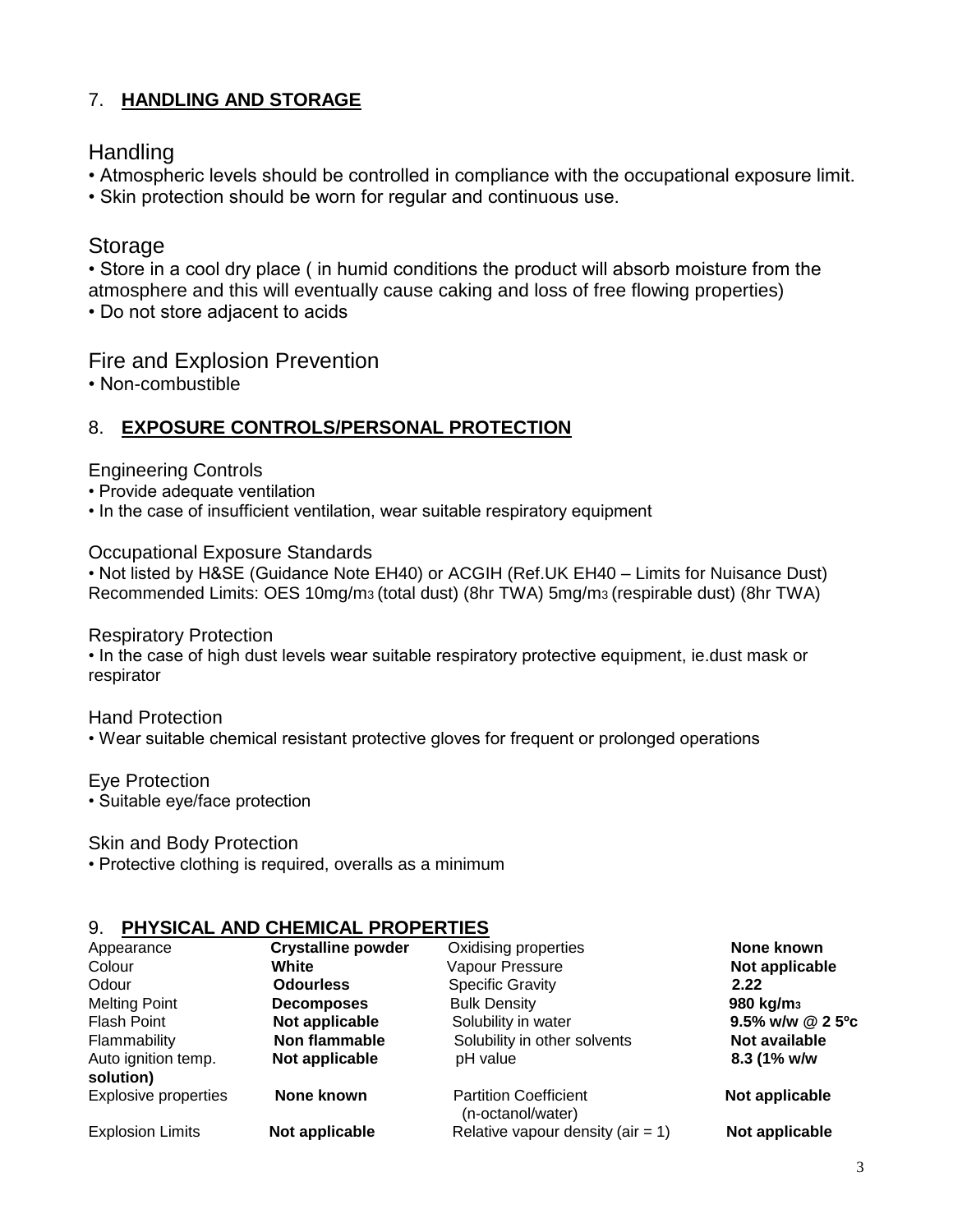### 7. **HANDLING AND STORAGE**

### **Handling**

- Atmospheric levels should be controlled in compliance with the occupational exposure limit.
- Skin protection should be worn for regular and continuous use.

# **Storage**

• Store in a cool dry place ( in humid conditions the product will absorb moisture from the atmosphere and this will eventually cause caking and loss of free flowing properties)

• Do not store adjacent to acids

### Fire and Explosion Prevention

• Non-combustible

### 8. **EXPOSURE CONTROLS/PERSONAL PROTECTION**

#### Engineering Controls

- Provide adequate ventilation
- In the case of insufficient ventilation, wear suitable respiratory equipment

#### Occupational Exposure Standards

• Not listed by H&SE (Guidance Note EH40) or ACGIH (Ref.UK EH40 – Limits for Nuisance Dust) Recommended Limits: OES 10mg/m3 (total dust) (8hr TWA) 5mg/m3 (respirable dust) (8hr TWA)

#### Respiratory Protection

• In the case of high dust levels wear suitable respiratory protective equipment, ie.dust mask or respirator

#### Hand Protection

• Wear suitable chemical resistant protective gloves for frequent or prolonged operations

#### Eye Protection

• Suitable eye/face protection

#### Skin and Body Protection

• Protective clothing is required, overalls as a minimum

### 9. **PHYSICAL AND CHEMICAL PROPERTIES**

| Appearance                       | <b>Crystalline powder</b> | Oxidising properties                              | None known            |
|----------------------------------|---------------------------|---------------------------------------------------|-----------------------|
| Colour                           | White                     | Vapour Pressure                                   | Not applicable        |
| Odour                            | <b>Odourless</b>          | <b>Specific Gravity</b>                           | 2.22                  |
| <b>Melting Point</b>             | <b>Decomposes</b>         | <b>Bulk Density</b>                               | 980 kg/m <sub>3</sub> |
| Flash Point                      | Not applicable            | Solubility in water                               | 9.5% w/w @ 2 5°c      |
| Flammability                     | Non flammable             | Solubility in other solvents                      | Not available         |
| Auto ignition temp.<br>solution) | Not applicable            | pH value                                          | 8.3 (1% w/w           |
| <b>Explosive properties</b>      | None known                | <b>Partition Coefficient</b><br>(n-octanol/water) | Not applicable        |
| <b>Explosion Limits</b>          | Not applicable            | Relative vapour density (air $= 1$ )              | Not applicable        |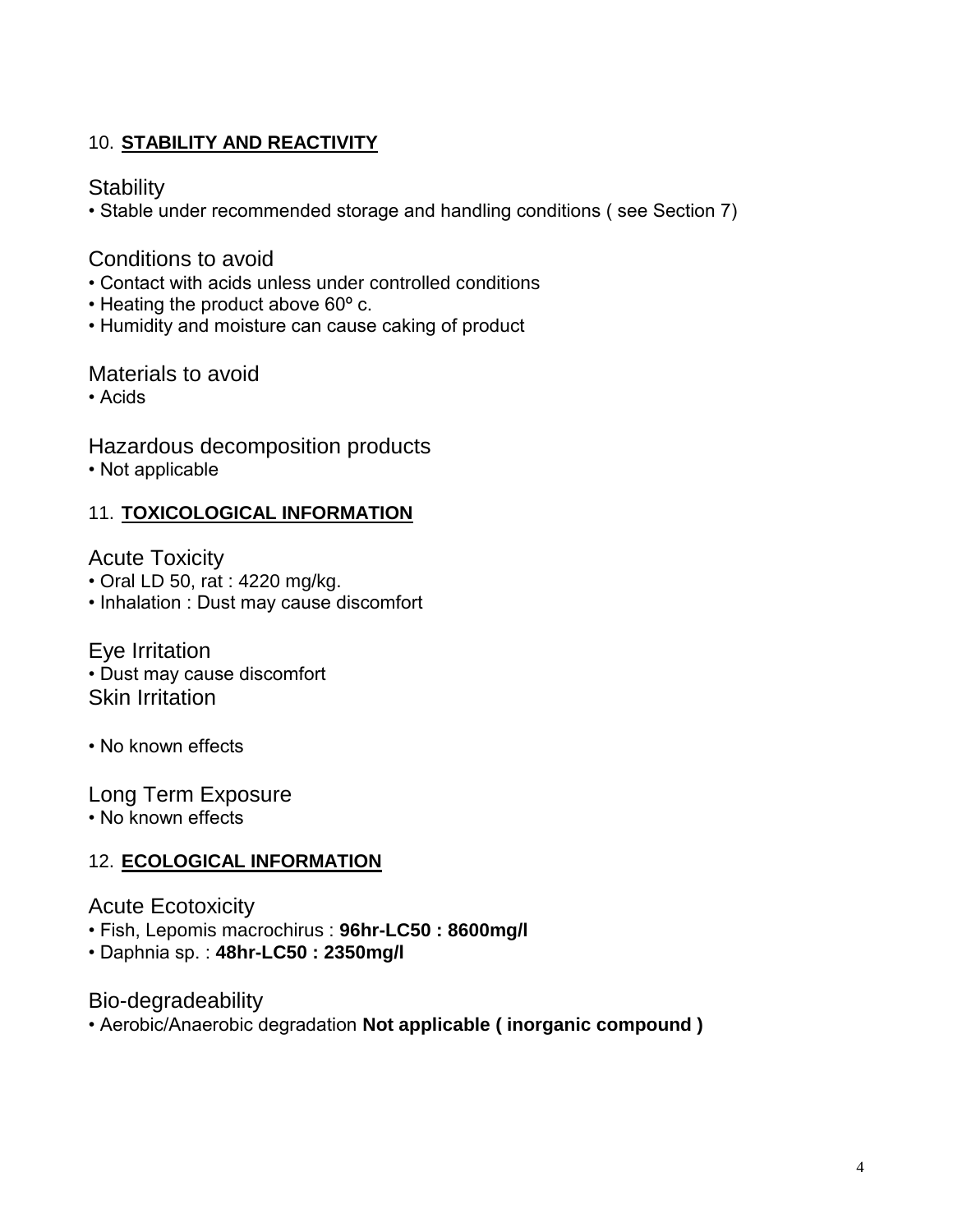# 10. **STABILITY AND REACTIVITY**

# **Stability**

• Stable under recommended storage and handling conditions ( see Section 7)

# Conditions to avoid

- Contact with acids unless under controlled conditions
- Heating the product above 60º c.
- Humidity and moisture can cause caking of product

### Materials to avoid

• Acids

Hazardous decomposition products

• Not applicable

### 11. **TOXICOLOGICAL INFORMATION**

Acute Toxicity

- Oral LD 50, rat : 4220 mg/kg.
- Inhalation : Dust may cause discomfort

Eye Irritation • Dust may cause discomfort Skin Irritation

• No known effects

Long Term Exposure

• No known effects

# 12. **ECOLOGICAL INFORMATION**

# Acute Ecotoxicity

- Fish, Lepomis macrochirus : **96hr-LC50 : 8600mg/l**
- Daphnia sp. : **48hr-LC50 : 2350mg/l**

Bio-degradeability

• Aerobic/Anaerobic degradation **Not applicable ( inorganic compound )**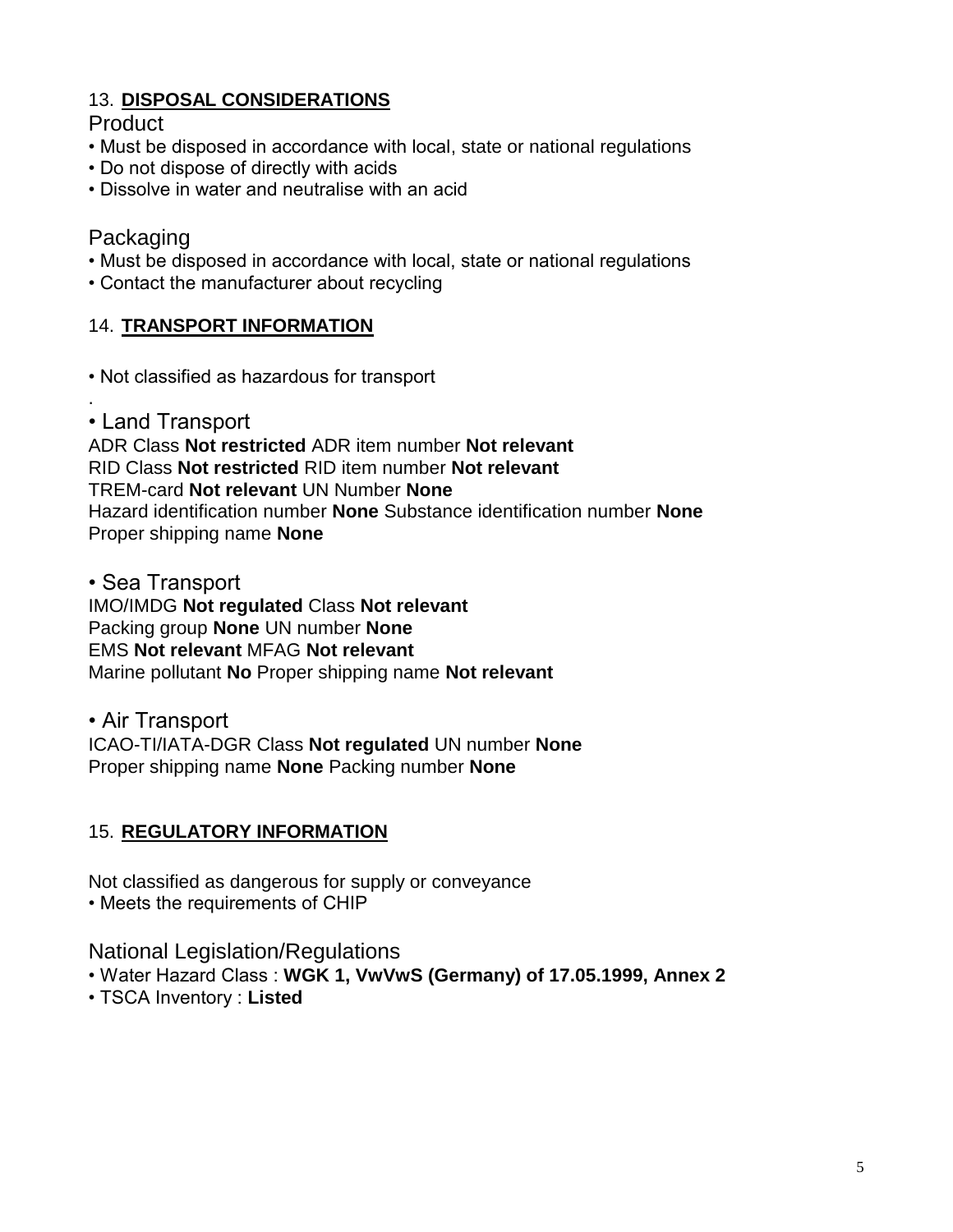# 13. **DISPOSAL CONSIDERATIONS**

# **Product**

- Must be disposed in accordance with local, state or national regulations
- Do not dispose of directly with acids
- Dissolve in water and neutralise with an acid

# Packaging

.

- Must be disposed in accordance with local, state or national regulations
- Contact the manufacturer about recycling

### 14. **TRANSPORT INFORMATION**

- Not classified as hazardous for transport
- Land Transport

ADR Class **Not restricted** ADR item number **Not relevant**  RID Class **Not restricted** RID item number **Not relevant**  TREM-card **Not relevant** UN Number **None**  Hazard identification number **None** Substance identification number **None**  Proper shipping name **None** 

• Sea Transport

IMO/IMDG **Not regulated** Class **Not relevant**  Packing group **None** UN number **None**  EMS **Not relevant** MFAG **Not relevant**  Marine pollutant **No** Proper shipping name **Not relevant** 

• Air Transport ICAO-TI/IATA-DGR Class **Not regulated** UN number **None**  Proper shipping name **None** Packing number **None** 

# 15. **REGULATORY INFORMATION**

Not classified as dangerous for supply or conveyance

• Meets the requirements of CHIP

National Legislation/Regulations

- Water Hazard Class : **WGK 1, VwVwS (Germany) of 17.05.1999, Annex 2**
- TSCA Inventory : **Listed**